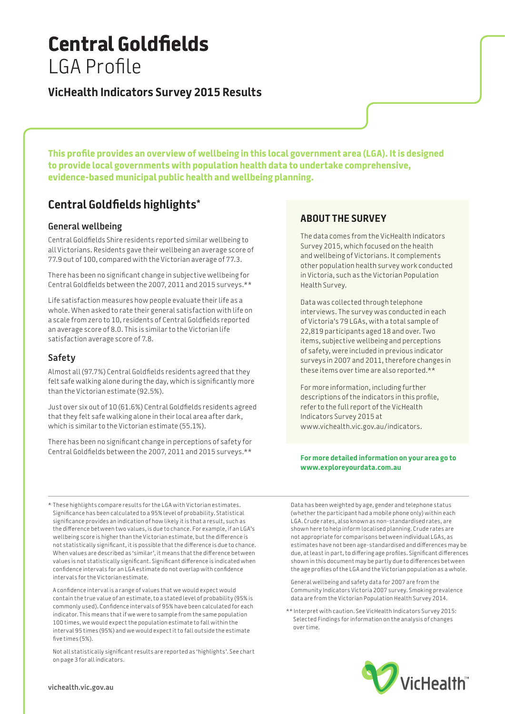# **Central Goldfields**  LGA Profile

### **VicHealth Indicators Survey 2015 Results**

**This profile provides an overview of wellbeing in this local government area (LGA). It is designed to provide local governments with population health data to undertake comprehensive, evidence-based municipal public health and wellbeing planning.**

## **Central Goldfields highlights\***

#### **General wellbeing**

Central Goldfields Shire residents reported similar wellbeing to all Victorians. Residents gave their wellbeing an average score of 77.9 out of 100, compared with the Victorian average of 77.3.

There has been no significant change in subjective wellbeing for Central Goldfields between the 2007, 2011 and 2015 surveys.\*\*

Life satisfaction measures how people evaluate their life as a whole. When asked to rate their general satisfaction with life on a scale from zero to 10, residents of Central Goldfields reported an average score of 8.0. This is similar to the Victorian life satisfaction average score of 7.8.

#### **Safety**

Almost all (97.7%) Central Goldfields residents agreed that they felt safe walking alone during the day, which is significantly more than the Victorian estimate (92.5%).

Just over six out of 10 (61.6%) Central Goldfields residents agreed that they felt safe walking alone in their local area after dark, which is similar to the Victorian estimate (55.1%).

There has been no significant change in perceptions of safety for Central Goldfields between the 2007, 2011 and 2015 surveys.\*\*

### **About the survey**

The data comes from the VicHealth Indicators Survey 2015, which focused on the health and wellbeing of Victorians. It complements other population health survey work conducted in Victoria, such as the Victorian Population Health Survey.

Data was collected through telephone interviews. The survey was conducted in each of Victoria's 79 LGAs, with a total sample of 22,819 participants aged 18 and over. Two items, subjective wellbeing and perceptions of safety, were included in previous indicator surveys in 2007 and 2011, therefore changes in these items over time are also reported.\*\*

For more information, including further descriptions of the indicators in this profile, refer to the full report of the VicHealth Indicators Survey 2015 at www.vichealth.vic.gov.au/indicators.

#### **For more detailed information on your area go to www.exploreyourdata.com.au**

\* These highlights compare results for the LGA with Victorian estimates. Significance has been calculated to a 95% level of probability. Statistical significance provides an indication of how likely it is that a result, such as the difference between two values, is due to chance. For example, if an LGA's wellbeing score is higher than the Victorian estimate, but the difference is not statistically significant, it is possible that the difference is due to chance. When values are described as 'similar', it means that the difference between values is not statistically significant. Significant difference is indicated when confidence intervals for an LGA estimate do not overlap with confidence intervals for the Victorian estimate.

A confidence interval is a range of values that we would expect would contain the true value of an estimate, to a stated level of probability (95% is commonly used). Confidence intervals of 95% have been calculated for each indicator. This means that if we were to sample from the same population 100 times, we would expect the population estimate to fall within the interval 95 times (95%) and we would expect it to fall outside the estimate five times (5%).

Not all statistically significant results are reported as 'highlights'. See chart on page 3 for all indicators.

Data has been weighted by age, gender and telephone status (whether the participant had a mobile phone only) within each LGA. Crude rates, also known as non-standardised rates, are shown here to help inform localised planning. Crude rates are not appropriate for comparisons between individual LGAs, as estimates have not been age-standardised and differences may be due, at least in part, to differing age profiles. Significant differences shown in this document may be partly due to differences between the age profiles of the LGA and the Victorian population as a whole.

General wellbeing and safety data for 2007 are from the Community Indicators Victoria 2007 survey. Smoking prevalence data are from the Victorian Population Health Survey 2014.

\*\* Interpret with caution. See VicHealth Indicators Survey 2015: Selected Findings for information on the analysis of changes over time.

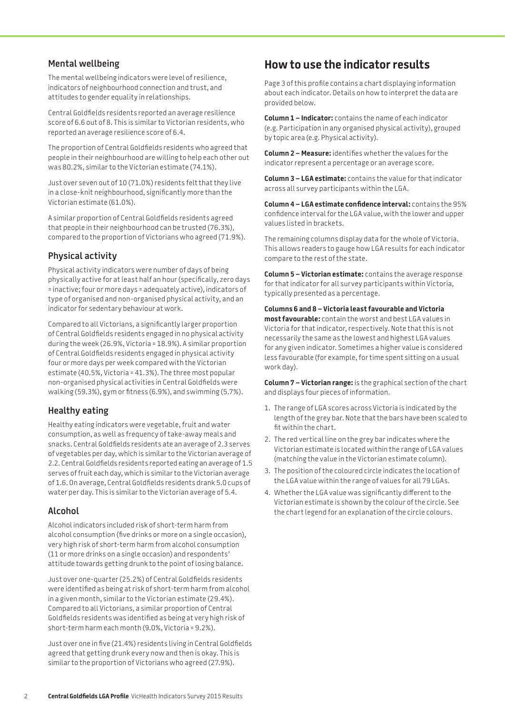#### **Mental wellbeing**

The mental wellbeing indicators were level of resilience, indicators of neighbourhood connection and trust, and attitudes to gender equality in relationships.

Central Goldfields residents reported an average resilience score of 6.6 out of 8. This is similar to Victorian residents, who reported an average resilience score of 6.4.

The proportion of Central Goldfields residents who agreed that people in their neighbourhood are willing to help each other out was 80.2%, similar to the Victorian estimate (74.1%).

Just over seven out of 10 (71.0%) residents felt that they live in a close-knit neighbourhood, significantly more than the Victorian estimate (61.0%).

A similar proportion of Central Goldfields residents agreed that people in their neighbourhood can be trusted (76.3%), compared to the proportion of Victorians who agreed (71.9%).

#### **Physical activity**

Physical activity indicators were number of days of being physically active for at least half an hour (specifically, zero days = inactive; four or more days = adequately active), indicators of type of organised and non-organised physical activity, and an indicator for sedentary behaviour at work.

Compared to all Victorians, a significantly larger proportion of Central Goldfields residents engaged in no physical activity during the week (26.9%, Victoria = 18.9%). A similar proportion of Central Goldfields residents engaged in physical activity four or more days per week compared with the Victorian estimate (40.5%, Victoria = 41.3%). The three most popular non-organised physical activities in Central Goldfields were walking (59.3%), gym or fitness (6.9%), and swimming (5.7%).

### **Healthy eating**

Healthy eating indicators were vegetable, fruit and water consumption, as well as frequency of take-away meals and snacks. Central Goldfields residents ate an average of 2.3 serves of vegetables per day, which is similar to the Victorian average of 2.2. Central Goldfields residents reported eating an average of 1.5 serves of fruit each day, which is similar to the Victorian average of 1.6. On average, Central Goldfields residents drank 5.0 cups of water per day. This is similar to the Victorian average of 5.4.

#### **Alcohol**

Alcohol indicators included risk of short-term harm from alcohol consumption (five drinks or more on a single occasion), very high risk of short-term harm from alcohol consumption (11 or more drinks on a single occasion) and respondents' attitude towards getting drunk to the point of losing balance.

Just over one-quarter (25.2%) of Central Goldfields residents were identified as being at risk of short-term harm from alcohol in a given month, similar to the Victorian estimate (29.4%). Compared to all Victorians, a similar proportion of Central Goldfields residents was identified as being at very high risk of short-term harm each month (9.0%, Victoria = 9.2%).

Just over one in five (21.4%) residents living in Central Goldfields agreed that getting drunk every now and then is okay. This is similar to the proportion of Victorians who agreed (27.9%).

### **How to use the indicator results**

Page 3 of this profile contains a chart displaying information about each indicator. Details on how to interpret the data are provided below.

**Column 1 – Indicator:** contains the name of each indicator (e.g. Participation in any organised physical activity), grouped by topic area (e.g. Physical activity).

**Column 2 – Measure:** identifies whether the values for the indicator represent a percentage or an average score.

**Column 3 – LGA estimate:** contains the value for that indicator across all survey participants within the LGA.

**Column 4 – LGA estimate confidence interval:** contains the 95% confidence interval for the LGA value, with the lower and upper values listed in brackets.

The remaining columns display data for the whole of Victoria. This allows readers to gauge how LGA results for each indicator compare to the rest of the state.

**Column 5 – Victorian estimate:** contains the average response for that indicator for all survey participants within Victoria, typically presented as a percentage.

**Columns 6 and 8 – Victoria least favourable and Victoria most favourable:** contain the worst and best LGA values in Victoria for that indicator, respectively. Note that this is not necessarily the same as the lowest and highest LGA values for any given indicator. Sometimes a higher value is considered less favourable (for example, for time spent sitting on a usual work day).

**Column 7 – Victorian range:** is the graphical section of the chart and displays four pieces of information.

- 1. The range of LGA scores across Victoria is indicated by the length of the grey bar. Note that the bars have been scaled to fit within the chart.
- 2. The red vertical line on the grey bar indicates where the Victorian estimate is located within the range of LGA values (matching the value in the Victorian estimate column).
- 3. The position of the coloured circle indicates the location of the LGA value within the range of values for all 79 LGAs.
- 4. Whether the LGA value was significantly different to the Victorian estimate is shown by the colour of the circle. See the chart legend for an explanation of the circle colours.